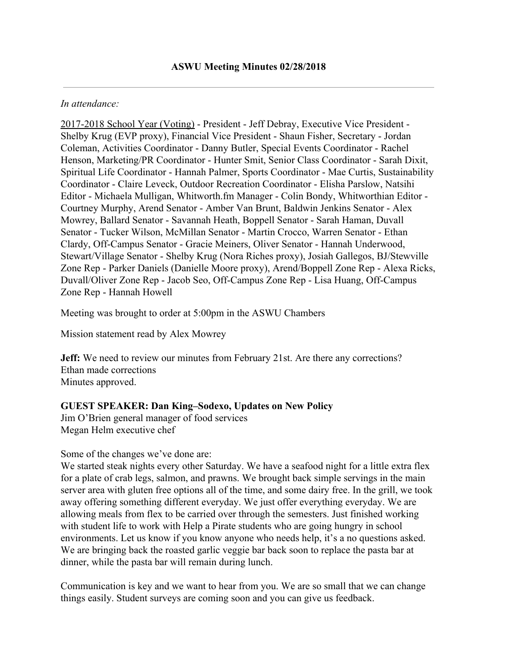#### *In attendance:*

2017-2018 School Year (Voting) - President - Jeff Debray, Executive Vice President - Shelby Krug (EVP proxy), Financial Vice President - Shaun Fisher, Secretary - Jordan Coleman, Activities Coordinator - Danny Butler, Special Events Coordinator - Rachel Henson, Marketing/PR Coordinator - Hunter Smit, Senior Class Coordinator - Sarah Dixit, Spiritual Life Coordinator - Hannah Palmer, Sports Coordinator - Mae Curtis, Sustainability Coordinator - Claire Leveck, Outdoor Recreation Coordinator - Elisha Parslow, Natsihi Editor - Michaela Mulligan, Whitworth.fm Manager - Colin Bondy, Whitworthian Editor - Courtney Murphy, Arend Senator - Amber Van Brunt, Baldwin Jenkins Senator - Alex Mowrey, Ballard Senator - Savannah Heath, Boppell Senator - Sarah Haman, Duvall Senator - Tucker Wilson, McMillan Senator - Martin Crocco, Warren Senator - Ethan Clardy, Off-Campus Senator - Gracie Meiners, Oliver Senator - Hannah Underwood, Stewart/Village Senator - Shelby Krug (Nora Riches proxy), Josiah Gallegos, BJ/Stewville Zone Rep - Parker Daniels (Danielle Moore proxy), Arend/Boppell Zone Rep - Alexa Ricks, Duvall/Oliver Zone Rep - Jacob Seo, Off-Campus Zone Rep - Lisa Huang, Off-Campus Zone Rep - Hannah Howell

Meeting was brought to order at 5:00pm in the ASWU Chambers

Mission statement read by Alex Mowrey

**Jeff:** We need to review our minutes from February 21st. Are there any corrections? Ethan made corrections Minutes approved.

#### **GUEST SPEAKER: Dan King–Sodexo, Updates on New Policy**

Jim O'Brien general manager of food services Megan Helm executive chef

Some of the changes we've done are:

We started steak nights every other Saturday. We have a seafood night for a little extra flex for a plate of crab legs, salmon, and prawns. We brought back simple servings in the main server area with gluten free options all of the time, and some dairy free. In the grill, we took away offering something different everyday. We just offer everything everyday. We are allowing meals from flex to be carried over through the semesters. Just finished working with student life to work with Help a Pirate students who are going hungry in school environments. Let us know if you know anyone who needs help, it's a no questions asked. We are bringing back the roasted garlic veggie bar back soon to replace the pasta bar at dinner, while the pasta bar will remain during lunch.

Communication is key and we want to hear from you. We are so small that we can change things easily. Student surveys are coming soon and you can give us feedback.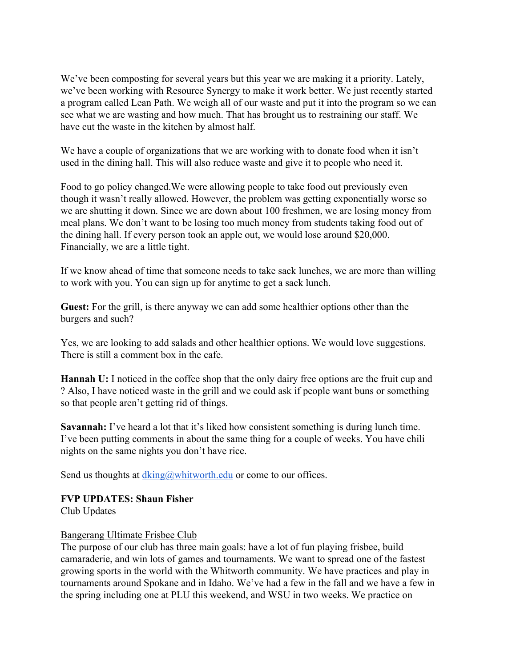We've been composting for several years but this year we are making it a priority. Lately, we've been working with Resource Synergy to make it work better. We just recently started a program called Lean Path. We weigh all of our waste and put it into the program so we can see what we are wasting and how much. That has brought us to restraining our staff. We have cut the waste in the kitchen by almost half.

We have a couple of organizations that we are working with to donate food when it isn't used in the dining hall. This will also reduce waste and give it to people who need it.

Food to go policy changed.We were allowing people to take food out previously even though it wasn't really allowed. However, the problem was getting exponentially worse so we are shutting it down. Since we are down about 100 freshmen, we are losing money from meal plans. We don't want to be losing too much money from students taking food out of the dining hall. If every person took an apple out, we would lose around \$20,000. Financially, we are a little tight.

If we know ahead of time that someone needs to take sack lunches, we are more than willing to work with you. You can sign up for anytime to get a sack lunch.

**Guest:** For the grill, is there anyway we can add some healthier options other than the burgers and such?

Yes, we are looking to add salads and other healthier options. We would love suggestions. There is still a comment box in the cafe.

**Hannah U:** I noticed in the coffee shop that the only dairy free options are the fruit cup and ? Also, I have noticed waste in the grill and we could ask if people want buns or something so that people aren't getting rid of things.

**Savannah:** I've heard a lot that it's liked how consistent something is during lunch time. I've been putting comments in about the same thing for a couple of weeks. You have chili nights on the same nights you don't have rice.

Send us thoughts at  $dking@$ whitworth.edu or come to our offices.

## **FVP UPDATES: Shaun Fisher**

Club Updates

## Bangerang Ultimate Frisbee Club

The purpose of our club has three main goals: have a lot of fun playing frisbee, build camaraderie, and win lots of games and tournaments. We want to spread one of the fastest growing sports in the world with the Whitworth community. We have practices and play in tournaments around Spokane and in Idaho. We've had a few in the fall and we have a few in the spring including one at PLU this weekend, and WSU in two weeks. We practice on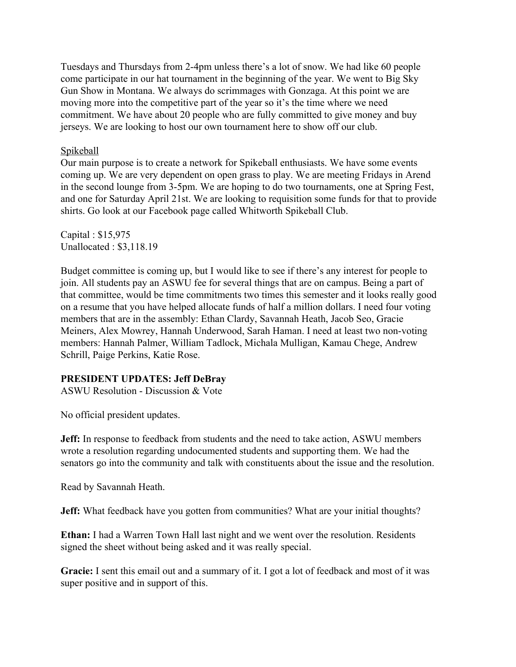Tuesdays and Thursdays from 2-4pm unless there's a lot of snow. We had like 60 people come participate in our hat tournament in the beginning of the year. We went to Big Sky Gun Show in Montana. We always do scrimmages with Gonzaga. At this point we are moving more into the competitive part of the year so it's the time where we need commitment. We have about 20 people who are fully committed to give money and buy jerseys. We are looking to host our own tournament here to show off our club.

#### Spikeball

Our main purpose is to create a network for Spikeball enthusiasts. We have some events coming up. We are very dependent on open grass to play. We are meeting Fridays in Arend in the second lounge from 3-5pm. We are hoping to do two tournaments, one at Spring Fest, and one for Saturday April 21st. We are looking to requisition some funds for that to provide shirts. Go look at our Facebook page called Whitworth Spikeball Club.

Capital : \$15,975 Unallocated : \$3,118.19

Budget committee is coming up, but I would like to see if there's any interest for people to join. All students pay an ASWU fee for several things that are on campus. Being a part of that committee, would be time commitments two times this semester and it looks really good on a resume that you have helped allocate funds of half a million dollars. I need four voting members that are in the assembly: Ethan Clardy, Savannah Heath, Jacob Seo, Gracie Meiners, Alex Mowrey, Hannah Underwood, Sarah Haman. I need at least two non-voting members: Hannah Palmer, William Tadlock, Michala Mulligan, Kamau Chege, Andrew Schrill, Paige Perkins, Katie Rose.

## **PRESIDENT UPDATES: Jeff DeBray**

ASWU Resolution - Discussion & Vote

No official president updates.

**Jeff:** In response to feedback from students and the need to take action, ASWU members wrote a resolution regarding undocumented students and supporting them. We had the senators go into the community and talk with constituents about the issue and the resolution.

Read by Savannah Heath.

**Jeff:** What feedback have you gotten from communities? What are your initial thoughts?

**Ethan:** I had a Warren Town Hall last night and we went over the resolution. Residents signed the sheet without being asked and it was really special.

**Gracie:** I sent this email out and a summary of it. I got a lot of feedback and most of it was super positive and in support of this.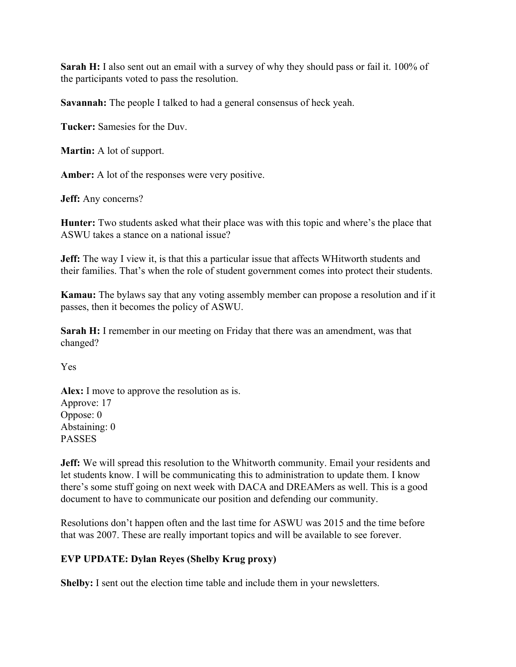Sarah H: I also sent out an email with a survey of why they should pass or fail it. 100% of the participants voted to pass the resolution.

**Savannah:** The people I talked to had a general consensus of heck yeah.

**Tucker:** Samesies for the Duv.

**Martin:** A lot of support.

**Amber:** A lot of the responses were very positive.

**Jeff:** Any concerns?

**Hunter:** Two students asked what their place was with this topic and where's the place that ASWU takes a stance on a national issue?

**Jeff:** The way I view it, is that this a particular issue that affects WHitworth students and their families. That's when the role of student government comes into protect their students.

**Kamau:** The bylaws say that any voting assembly member can propose a resolution and if it passes, then it becomes the policy of ASWU.

**Sarah H:** I remember in our meeting on Friday that there was an amendment, was that changed?

Yes

**Alex:** I move to approve the resolution as is. Approve: 17 Oppose: 0 Abstaining: 0 PASSES

**Jeff:** We will spread this resolution to the Whitworth community. Email your residents and let students know. I will be communicating this to administration to update them. I know there's some stuff going on next week with DACA and DREAMers as well. This is a good document to have to communicate our position and defending our community.

Resolutions don't happen often and the last time for ASWU was 2015 and the time before that was 2007. These are really important topics and will be available to see forever.

## **EVP UPDATE: Dylan Reyes (Shelby Krug proxy)**

**Shelby:** I sent out the election time table and include them in your newsletters.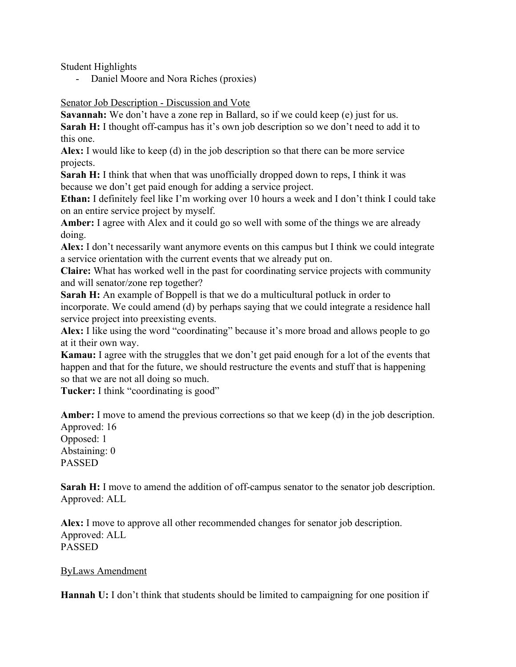Student Highlights

- Daniel Moore and Nora Riches (proxies)

#### Senator Job Description - Discussion and Vote

**Savannah:** We don't have a zone rep in Ballard, so if we could keep (e) just for us. **Sarah H:** I thought off-campus has it's own job description so we don't need to add it to

this one.

**Alex:** I would like to keep (d) in the job description so that there can be more service projects.

**Sarah H:** I think that when that was unofficially dropped down to reps, I think it was because we don't get paid enough for adding a service project.

**Ethan:** I definitely feel like I'm working over 10 hours a week and I don't think I could take on an entire service project by myself.

**Amber:** I agree with Alex and it could go so well with some of the things we are already doing.

**Alex:** I don't necessarily want anymore events on this campus but I think we could integrate a service orientation with the current events that we already put on.

**Claire:** What has worked well in the past for coordinating service projects with community and will senator/zone rep together?

**Sarah H:** An example of Boppell is that we do a multicultural potluck in order to incorporate. We could amend (d) by perhaps saying that we could integrate a residence hall service project into preexisting events.

**Alex:** I like using the word "coordinating" because it's more broad and allows people to go at it their own way.

**Kamau:** I agree with the struggles that we don't get paid enough for a lot of the events that happen and that for the future, we should restructure the events and stuff that is happening so that we are not all doing so much.

Tucker: I think "coordinating is good"

**Amber:** I move to amend the previous corrections so that we keep (d) in the job description. Approved: 16

Opposed: 1 Abstaining: 0 PASSED

**Sarah H:** I move to amend the addition of off-campus senator to the senator job description. Approved: ALL

**Alex:** I move to approve all other recommended changes for senator job description. Approved: ALL PASSED

ByLaws Amendment

**Hannah U:** I don't think that students should be limited to campaigning for one position if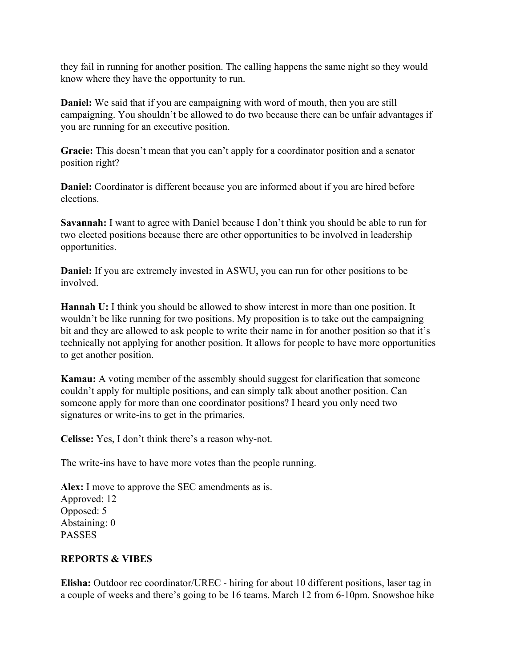they fail in running for another position. The calling happens the same night so they would know where they have the opportunity to run.

**Daniel:** We said that if you are campaigning with word of mouth, then you are still campaigning. You shouldn't be allowed to do two because there can be unfair advantages if you are running for an executive position.

**Gracie:** This doesn't mean that you can't apply for a coordinator position and a senator position right?

**Daniel:** Coordinator is different because you are informed about if you are hired before elections.

**Savannah:** I want to agree with Daniel because I don't think you should be able to run for two elected positions because there are other opportunities to be involved in leadership opportunities.

**Daniel:** If you are extremely invested in ASWU, you can run for other positions to be involved.

**Hannah U:** I think you should be allowed to show interest in more than one position. It wouldn't be like running for two positions. My proposition is to take out the campaigning bit and they are allowed to ask people to write their name in for another position so that it's technically not applying for another position. It allows for people to have more opportunities to get another position.

**Kamau:** A voting member of the assembly should suggest for clarification that someone couldn't apply for multiple positions, and can simply talk about another position. Can someone apply for more than one coordinator positions? I heard you only need two signatures or write-ins to get in the primaries.

**Celisse:** Yes, I don't think there's a reason why-not.

The write-ins have to have more votes than the people running.

**Alex:** I move to approve the SEC amendments as is. Approved: 12 Opposed: 5 Abstaining: 0 PASSES

# **REPORTS & VIBES**

**Elisha:** Outdoor rec coordinator/UREC - hiring for about 10 different positions, laser tag in a couple of weeks and there's going to be 16 teams. March 12 from 6-10pm. Snowshoe hike